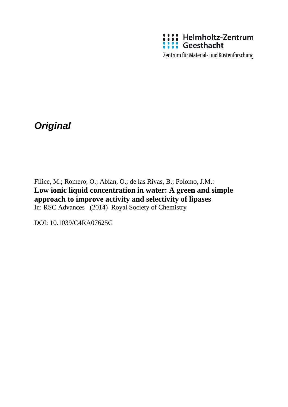

*Original*

Filice, M.; Romero, O.; Abian, O.; de las Rivas, B.; Polomo, J.M.: **Low ionic liquid concentration in water: A green and simple approach to improve activity and selectivity of lipases** In: RSC Advances (2014) Royal Society of Chemistry

DOI: 10.1039/C4RA07625G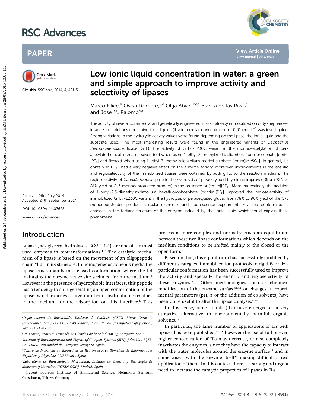# RSC Advances



## PAPER



Cite this: RSC Adv., 2014, 4, 49115

## Low ionic liquid concentration in water: a green and simple approach to improve activity and selectivity of lipases

Marco Filice,<sup>a</sup> Oscar Romero, †<sup>a</sup> Olga Abian, <sup>bcd</sup> Blanca de las Rivas<sup>e</sup> and Jose M. Palomo<sup>\*<sup>8</sup></sup>

The activity of several commercial and genetically engineered lipases, already immobilized on octyl-Sepharose, in aqueous solutions containing ionic liquids (ILs) in a molar concentration of 0.01 mol  $L^{-1}$  was investigated. Strong variations in the hydrolytic activity values were found depending on the lipase, the ionic liquid and the substrate used. The most interesting results were found in the engineered variants of Geobacillus thermocatenolatus lipase (GTL). The activity of GTLo-L230C variant in the monodeacetylation of peracetylated glucal increased seven fold when using 1-ethyl-3-methylimidazoliumhexafluorophosphate [emim [PF<sub>6</sub>] and fivefold when using 1-ethyl-3-methylimidazolium methyl sulphate [emim][MeSO<sub>3</sub>]. In general, ILs containing BF<sub>4</sub><sup>-</sup> had a very negative effect on the enzyme activity. Moreover, improvements in the enantio and regioselectivity of the immobilized lipases were obtained by adding ILs to the reaction medium. The regioselectivity of Candida rugosa lipase in the hydrolysis of peracetylated thymidine improved (from 72% to 81% yield of C-5 monodeprotected product) in the presence of [emim][PF<sub>6</sub>]. More interestingly, the addition of 1-butyl-2,3-dimethylimidazolium hexafluorophosphate [bdmim][PF<sub>6</sub>] improved the regioselectivity of immobilized GTLo-L230C variant in the hydrolysis of peracetylated glucal, from 78% to 96% yield of the C-3 monodeprotected product. Circular dichroism and fluorescence experiments revealed conformational changes in the tertiary structure of the enzyme induced by the ionic liquid which could explain these phenomena. PAPER<br> **Example approach to improve activity and**<br> **Example approach to improve activity and**<br> **Example approach to improve activity and**<br> **Example approach to improve activity and**<br> **Example approach to improve activity a** 

Received 25th July 2014 Accepted 24th September 2014 DOI: 10.1039/c4ra07625g

www.rsc.org/advances

## Introduction

Lipases, acylglycerol hydrolases (EC:3.1.1.3), are one of the most used enzymes in biotransformations.<sup>1-5</sup> The catalytic mechanism of a lipase is based on the movement of an oligopeptide chain "lid" in its structure. In homogeneous aqueous media the lipase exists mainly in a closed conformation, where the lid maintains the enzyme active site secluded from the medium.<sup>6</sup> However in the presence of hydrophobic interfaces, this peptide has a tendency to shift generating an open conformation of the lipase, which exposes a large number of hydrophobic residues to the medium for the adsorption on this interface.<sup>6</sup> This

"Departamento de Biocatálisis, Instituto de Catálisis (CSIC), Marie Curie 2. Cantoblanco. Campus UAM, 28049 Madrid, Spain. E-mail: josempalomo@icp.csic.es; Fax: +34 915854760

bIIS Aragón, Instituto Aragonés de Ciencias de la Salud (IACS), Zaragoza, Spain

Institute of Biocomputation and Physics of Complex Systems (BIFI), Joint Unit IQFR-CSIC-BIFI, Universidad de Zaragoza, Zaragoza, Spain

† Present address: Institute of Biomaterial Science, Helmholtz Zentrum Geesthacht, Teltow, Germany.

process is more complex and normally exists an equilibrium between these two lipase conformations which depends on the medium conditions to be shifted mainly to the closed or the open form.<sup>7</sup>

Based on that, this equilibrium has successfully modified by different strategies. Immobilization protocols to rigidify or fix a particular conformation has been successfully used to improve the activity and specially the enantio and regioselectivity of these enzymes.<sup>8-10</sup> Other methodologies such as chemical modification of the enzyme surface $11,12$  or changes in experimental parameters (pH,  $T$  or the addition of co-solvents) have been quite useful to alter the lipase catalysis.<sup>8,13</sup>

In this sense, ionic liquids (ILs) have emerged as a very attractive alternative to environmentally harmful organic solvents.<sup>14</sup>

In particular, the large number of applications of ILs with lipases has been published,<sup>15-18</sup> however the use of full or even higher concentration of ILs may decrease, or also completely inactivates the enzymes, since they have the capacity to interact with the water molecules around the enzyme surface<sup>19</sup> and in some cases, with the enzyme itself<sup>20</sup> making difficult a real application of them. In this context, there is a strong and urgent need to increase the catalytic properties of lipases in ILs.

dCentro de Investigación Biomédica en Red en el Área Temática de Enfermedades Hepaticas y Digestivas (CIBERehd), Spain ´

 $^e$ Laboratorio de Biotecnología Microbiana, Instituto de Ciencia y Tecnología de alimentos y Nutrición, (ICTAN-CSIC), Madrid, Spain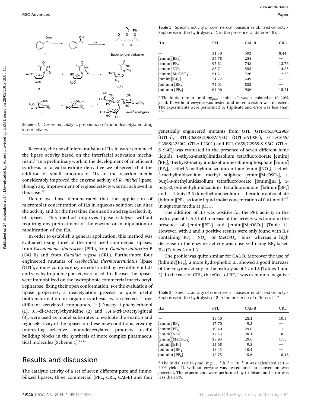

Scheme 1 Green biocatalytic preparation of monodeacetylated drug intermediates.

Recently, the use of microemulsion of ILs in water enhanced the lipase activity based on the interfacial activation mechanism.<sup>21</sup> In a preliminary work in the development of an efficient synthesis of a carbohydrate derivative we observed that the addition of small amounts of ILs in the reaction media considerably improved the enzyme activity of R. miehei lipase, though any improvement of regioselectivity was not achieved in this case.<sup>22</sup>

Herein we have demonstrated that the application of micromolar concentration of ILs in aqueous solution can alter the activity and for the first time the enantio and regioselectivity of lipases. This method improves lipase catalysis without requiring any pretreatment of the enzyme or manipulation or modification of the ILs.

In order to establish a general application, this method was evaluated using three of the most used commercial lipases, from Pseudomonas fluorescens (PFL), from Candida antarctica B (CAL-B) and from Candida rugosa (CRL). Furthermore four engineered mutants of Geobacillus thermocatenulatus lipase (GTL), a more complex enzyme constituted by two different lids and very hydrophobic pocket, were used. In all cases the lipases were immobilized on the hydrophobic commercial matrix octyl-Sepharose, fixing their open conformation. For the evaluation of lipase properties, a deacetylation process, a quite useful biotransformation in organic synthesis, was selected. Three different acetylated compounds,  $(\pm)$ -O-acetyl-1-phenylethanol (1), 3,5-di-O-acetyl-thymidine (2) and 3,4,6-tri-O-acetyl-glucal (3), were used as model substrates to evaluate the enantio and regioselectivity of the lipases on these new conditions, creating interesting selective monodeacetylated products, useful building blocks in the synthesis of more complex pharmaceutical molecules (Scheme 1).<sup>23,24</sup>

### Results and discussion

The catalytic activity of a set of seven different pure and immobilized lipases, three commercial (PFL, CRL, CAL-B) and four

Table 1 Specific activity of commercial lipases immobilized on octyl-Sepharose in the hydrolysis of  $1$  in the presence of different  $lLs<sup>a</sup>$ 

| <b>ILS</b>                  | PFL   | CAL-B | CRL   |
|-----------------------------|-------|-------|-------|
|                             | 31.30 | 592   | 8.44  |
| $[emim][BF_4]$              | 55.78 | 258   |       |
| [emim][PF <sub>6</sub> ]    | 95.61 | 748   | 13.76 |
| [emim][NO <sub>3</sub> ]    | 85.71 | 555   | 14.85 |
| [emim][MeOSO <sub>3</sub> ] | 91.21 | 726   | 12.33 |
| $[bmin][BF_4]$              | 71.72 | 449   |       |
| [bdmim][ $BF_4$ ]           | 74.01 | 882   |       |
| $[bdmin][PF_6]$             | 64.96 | 936   | 15.21 |

<sup>*a*</sup> The initial rate in µmol mg<sub>prot</sub><sup>-1</sup> min<sup>-1</sup>. It was calculated at 10-20% yield. IL without enzyme was tested and no conversion was detected. The experiments were performed by triplicate and error was less than 5%.

genetically engineered mutants from GTL [GTL-C65S/C296S (GTLσ), BTL-C65S/C296S/A193C (GTLσ-A193C), GTL-C65S/ C296S/L230C (GTLo-L230C) and BTL-C65S/C296S-S196C (GTLo-S196C)] was evaluated in the presence of seven different ionic liquids: 1-ethyl-3-methylimidazolium tetrafluoroborate [emim] [ $BF<sub>4</sub>$ ], 1-ethyl-3-methylimidazoliumhexafluorophosphate [emim] [ $PF_6$ ], 1-ethyl-3-methylimidazolium nitrate [emim][ $NO_3$ ], 1-ethyl-3-methylimidazolium methyl sulphate [emim][MeOSO<sub>3</sub>], 1butyl-3-methylimidazolium tetrafluoroborate [bmim][BF<sub>4</sub>], 1butyl-2,3-dimethylimidazolium tetrafluoroborate [bdmim][BF<sub>4</sub>] and 1-butyl-2,3-dimethylimidazolium hexafluorophosphate [bdmim][PF<sub>6</sub>] as ionic liquid molar concentration of 0.01 mol L<sup>-1</sup> in aqueous media at pH 5.

The addition of ILs was positive for the PFL activity in the hydrolysis of 1. A 3 fold increase of the activity was found in the presence of  $[emim][PF_6]$  and  $[emim][MeOSO_3]$  (Table 1). However, with 2 and 3 positive results were only found with ILs containing  $PF_6^-$ ,  $NO_3^-$  or MeOS $O_3^-$  ions, whereas a high decrease in the enzyme activity was observed using  $BF_4$ -based ILs (Tables 2 and 3).

The profile was quite similar for CAL-B. Moreover the use of [bdmim][ $PF_6$ ], a more hydrophobic IL, showed a good increase of the enzyme activity in the hydrolysis of 1 and 3 (Tables 1 and 3). In the case of CRL, the effect of  $\mathrm{BF_{4}}^{-}$  was even more negative

Table 2 Specific activity of commercial lipases immobilized on octyl-Sepharose in the hydrolysis of  $2$  in the presence of different  $lLs<sup>a</sup>$ 

| <b>ILS</b>                                             | PFL   | CAL-B | CRL  |
|--------------------------------------------------------|-------|-------|------|
|                                                        | 19.40 | 28.1  | 10.5 |
| $[emim][BF_4]$                                         | 17.70 | 9.3   |      |
| [emim][PF <sub>6</sub> ]                               | 19.40 | 29.6  | 11   |
| [emim][NO <sub>3</sub> ]                               | 17.43 | 28.1  | 8.5  |
| [emim][MeOSO <sub>3</sub> ]                            | 18.93 | 29.6  | 17.5 |
| $[bmin][BF_4]$                                         | 14.68 | 9.3   |      |
| [bdmim][ $BF_4$ ]                                      | 18.43 | 10.4  |      |
| $\lceil \text{bdmim} \rceil \lceil \text{PF}_6 \rceil$ | 18.75 | 15.6  | 8.46 |
|                                                        |       |       |      |

<sup>a</sup> The initial rate in µmol  $mg_{prot}^{-1} h^{-1} \times 10^{-1}$ . It was calculated at 10-20% yield. IL without enzyme was tested and no conversion was detected. The experiments were performed by triplicate and error was less than 5%.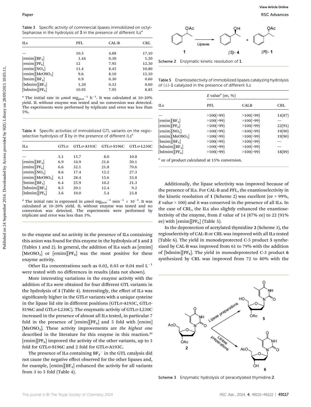Table 3 Specific activity of commercial lipases immobilized on octyl-Sepharose in the hydrolysis of 3 in the presence of different ILs<sup>a</sup>

| <b>ILS</b>                  | PFL   | CAL-B | CRL   |
|-----------------------------|-------|-------|-------|
|                             | 10.5  | 4.88  | 17.10 |
| $[emim][BF_4]$              | 1.44  | 0.30  | 1.20  |
| [emim][PF <sub>6</sub> ]    | 12    | 7.95  | 12.30 |
| [emim][NO <sub>3</sub> ]    | 11.4  | 8.45  | 10.80 |
| [emim][MeOSO <sub>3</sub> ] | 9.6   | 8.10  | 15.10 |
| $[bmin][BF_4]$              | 0.9   | 0.30  | 0.60  |
| [bdmim][ $BF_4$ ]           | 1.20  | 0.33  | 0.60  |
| [bdmin][PF <sub>6</sub> ]   | 10.95 | 7.95  | 8.85  |
|                             |       |       |       |

<sup>*a*</sup> The initial rate in µmol mg<sub>prot</sub><sup>-1</sup> h<sup>-1</sup>. It was calculated at 10-20% yield. IL without enzyme was tested and no conversion was detected. The experiments were performed by triplicate and error was less than 5%.

Table 4 Specific activities of immobilized GTL variants on the regioselective hydrolysis of  $3$  by in the presence of different  $lLs<sup>a</sup>$ 

| ILs                         | $GTL\sigma$ | $GTL$ σ-A193 $C$ | $GTL$ σ-S196C | $GTLσ-L230C$ |
|-----------------------------|-------------|------------------|---------------|--------------|
|                             |             |                  |               |              |
|                             | 5.1         | 15.7             | 8.0           | 10.8         |
| [emim][BF <sub>4</sub> ]    | 6.9         | 34.9             | 21.6          | 50.1         |
| $[emim][PF_6]$              | 6.6         | 32.1             | 21.8          | 70.6         |
| [emim][NO <sub>3</sub> ]    | 8.6         | 17.4             | 12.2          | 27.3         |
| [emim][MeOSO <sub>3</sub> ] | 6.1         | 28.4             | 15.6          | 53.8         |
| $[bmin][BF_4]$              | 6.4         | 25.9             | 10.2          | 21.3         |
| $[bdmin][BF_4]$             | 8.5         | 20.1             | 12.4          | 9.2          |
| $[bdmin][PF_6]$             | 3.6         | 10.0             | 5.4           | 23.8         |
|                             |             |                  |               |              |

to the enzyme and no activity in the presence of ILs containing this anion was found for this enzyme in the hydrolysis of 1 and 2 (Tables 1 and 2). In general, the addition of ILs such as [emim] [MeOSO<sub>3</sub>] or [emim][PF<sub>6</sub>] was the most positive for these enzyme activity.

Other ILs concentrations such as 0.02, 0.03 or 0.04 mol  $L^{-1}$ were tested with no differences in results (data not shown).

More interesting variations in the enzyme activity with the addition of ILs were obtained for four different GTL variants in the hydrolysis of 3 (Table 4). Interestingly, the effect of ILs was significantly higher in the GTL $\sigma$  variants with a unique cysteine in the lipase lid site in different positions (GTL $\sigma$ -A193C, GTL $\sigma$ -S196C and GTLo-L230C). The enzymatic activity of GTLo-L230C increased in the presence of almost all ILs tested, in particular 7 fold in the presence of  $[{\rm emim}][PF_6]$  and 5 fold with  $[{\rm emim}]$ [MeOSO<sub>3</sub>]. These activity improvements are the highest one described in the literature for this enzyme in this reaction.<sup>25</sup> [emim][PF $_6$ ] improved the activity of the other variants, up to 3 fold for GTL<sub>o</sub>-S196C and 2 fold for GTL<sub>o</sub>-A193C.

The presence of ILs containing  $\text{BF}_4{}^-$  in the GTL catalysis  $\rm{did}$ not cause the negative effect observed for the other lipases and, for example,  $[$ emim $][BF_4]$  enhanced the activity for all variants from 3 to 5 fold (Table 4).



Scheme 2 Enzymatic kinetic resolution of 1

Table 5 Enantioselectivity of immobilized lipases catalyzing hydrolysis of  $(\pm)$ -1 catalyzed in the presence of different ILs

|                                                                                                                                             |             | <b>PFL</b> | CAL-B        | <b>CRL</b> |                                                                                                                                     | Lipases                                     |                                                              |           |
|---------------------------------------------------------------------------------------------------------------------------------------------|-------------|------------|--------------|------------|-------------------------------------------------------------------------------------------------------------------------------------|---------------------------------------------|--------------------------------------------------------------|-----------|
|                                                                                                                                             |             | 10.5       | 4.88         | 17.10      |                                                                                                                                     |                                             | $(S) - 4$                                                    | $(R) - 1$ |
| [emim][BF <sub>4</sub> ]                                                                                                                    |             | 1.44       | 0.30         | 1.20       |                                                                                                                                     |                                             |                                                              |           |
| [emim][PF <sub>6</sub> ]                                                                                                                    |             | 12         | 7.95         | 12.30      | Scheme 2 Enzymatic kinetic resolution of 1.                                                                                         |                                             |                                                              |           |
| [emim][ $NO3$ ]                                                                                                                             |             | 11.4       | 8.45         | 10.80      |                                                                                                                                     |                                             |                                                              |           |
| [emim][MeOSO <sub>3</sub> ]                                                                                                                 |             | 9.6        | 8.10         | 15.10      |                                                                                                                                     |                                             |                                                              |           |
| [bmin][BF <sub>4</sub> ]                                                                                                                    |             | 0.9        | 0.30         | 0.60       | Table 5 Enantioselectivity of immobilized lipases catalyzing hydrolysis                                                             |                                             |                                                              |           |
| [bdmin][BF <sub>4</sub> ]                                                                                                                   |             | 1.20       | 0.33         | 0.60       | of $(\pm)$ -1 catalyzed in the presence of different ILs                                                                            |                                             |                                                              |           |
| [bdmim][PF <sub>6</sub> ]                                                                                                                   |             | 10.95      | 7.95         | 8.85       |                                                                                                                                     |                                             |                                                              |           |
| <sup><i>a</i></sup> The initial rate in $\mu$ mol mg <sub>prot</sub> <sup>-1</sup> h <sup>-1</sup> . It was calculated at 10-20%            |             |            |              |            |                                                                                                                                     | $E$ value <sup><math>a</math></sup> (ee, %) |                                                              |           |
| yield. IL without enzyme was tested and no conversion was detected.<br>The experiments were performed by triplicate and error was less than |             |            |              |            | ILS                                                                                                                                 | PFL                                         | <b>CALB</b>                                                  |           |
| 5%.                                                                                                                                         |             |            |              |            |                                                                                                                                     | >100(>99)                                   | >100(>99)                                                    |           |
|                                                                                                                                             |             |            |              |            |                                                                                                                                     |                                             |                                                              |           |
|                                                                                                                                             |             |            |              |            |                                                                                                                                     |                                             |                                                              |           |
|                                                                                                                                             |             |            |              |            | [emim][BF <sub>4</sub> ]                                                                                                            | >100(>99)                                   | >100(>99)                                                    |           |
|                                                                                                                                             |             |            |              |            | $[emim][PF_6]$                                                                                                                      | >100(>99)                                   | >100(>99)                                                    |           |
| Table 4 Specific activities of immobilized GTL variants on the regio-                                                                       |             |            |              |            | [emim][NO <sub>3</sub> ]                                                                                                            | >100(>99)                                   | >100(>99)                                                    |           |
| selective hydrolysis of 3 by in the presence of different ILs <sup>a</sup>                                                                  |             |            |              |            | [emim][MeOSO <sub>3</sub> ]                                                                                                         | >100(>99)                                   | >100(>99)                                                    |           |
| ILs                                                                                                                                         | $GTL\sigma$ | GTLσ-A193C | $GTLσ-S196C$ | GTLσ-L230C | [bmin][BF <sub>4</sub> ]                                                                                                            | >100(>99)                                   | >100(>99)                                                    |           |
|                                                                                                                                             |             |            |              |            | [bdmim][ $BF_4$ ]<br>$[bdmin][PF_6]$                                                                                                | >100(>99)<br>>100(>99)                      | >100(>99)<br>>100(>99)                                       |           |
|                                                                                                                                             | 5.1         | 15.7       | 8.0          | 10.8       |                                                                                                                                     |                                             |                                                              |           |
| [emim][BF <sub>4</sub> ]                                                                                                                    | 6.9         | 34.9       | 21.6         | 50.1       | $a$ ee of product calculated at 15% conversion.                                                                                     |                                             |                                                              |           |
| [emim][PF <sub>6</sub> ]                                                                                                                    | 6.6         | 32.1       | 21.8         | 70.6       |                                                                                                                                     |                                             |                                                              |           |
| [emim][NO <sub>3</sub> ]                                                                                                                    | 8.6         | 17.4       | 12.2         | 27.3       |                                                                                                                                     |                                             |                                                              |           |
| [emim][MeOSO <sub>3</sub> ]                                                                                                                 | 6.1         | 28.4       | 15.6         | 53.8       |                                                                                                                                     |                                             |                                                              |           |
| $[bmin][BF_4]$                                                                                                                              | 6.4         | 25.9       | 10.2         | 21.3       |                                                                                                                                     |                                             | Additionally, the lipase selectivity was improved because of |           |
| [bdmin][BF <sub>4</sub> ]                                                                                                                   | 8.5         | 20.1       | 12.4         | 9.2        |                                                                                                                                     |                                             |                                                              |           |
| $[bdmin][PF_6]$                                                                                                                             | 3.6         | 10.0       | 5.4          | 23.8       | the presence of ILs. For CAL-B and PFL, the enantioselectivity in                                                                   |                                             |                                                              |           |
| <sup><i>a</i></sup> The initial rate is expressed in µmol mg <sub>prot</sub> <sup>-1</sup> min <sup>-1</sup> × 10 <sup>-3</sup> . It was    |             |            |              |            | the kinetic resolution of 1 (Scheme 2) was excellent (ee $> 99\%$ ,                                                                 |                                             |                                                              |           |
| calculated at 10-20% yield. IL without enzyme was tested and no                                                                             |             |            |              |            | $E$ value $>$ 100) and it was conserved in the presence of all ILs. In                                                              |                                             |                                                              |           |
| conversion was detected. The experiments were performed by<br>triplicate and error was less than 5%.                                        |             |            |              |            | the case of CRL, the ILs also slightly enhanced the enantiose-<br>lectivity of the enzyme, from $E$ value of 14 (87% ee) to 22 (91% |                                             |                                                              |           |

In the deprotection of acetylated thymidine 2 (Scheme 3), the regioselectivity of CAL-B or CRL was improved with all ILs tested (Table 6). The yield in monodeprotected C-5 product 5 synthesized by CAL-B was improved from 61 to 79% with the addition of [bdmim][PF<sub>6</sub>]. The yield in monodeprotected C-3 product 6 synthesized by CRL was improved from 72 to 80% with the



Scheme 3 Enzymatic hydrolysis of peracetylated thymidine.2.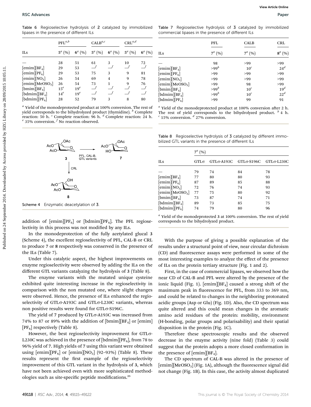Table 6 Regioselective hydrolysis of 2 catalyzed by immobilized lipases in the presence of different ILs

|                                                                                                                                                                                                                                                                                                                                         | $PFL^{a,b}$      |              | $\mathrm{CALB}^{a,c}$ |                | $\mathrm{CRL}^{a,d}$ |                                  |                                                                                                                                                                                                                                                                                                                                       |                  | PFL            | <b>CALB</b>           |                                                  |
|-----------------------------------------------------------------------------------------------------------------------------------------------------------------------------------------------------------------------------------------------------------------------------------------------------------------------------------------|------------------|--------------|-----------------------|----------------|----------------------|----------------------------------|---------------------------------------------------------------------------------------------------------------------------------------------------------------------------------------------------------------------------------------------------------------------------------------------------------------------------------------|------------------|----------------|-----------------------|--------------------------------------------------|
| ILs                                                                                                                                                                                                                                                                                                                                     | $5^{a} (%)$      | $6^{a}$ (%)  | $5^a$ (%)             | $6^a$ (%)      | $5^a$ (%)            | $6^{a}$ (%)                      | ILs                                                                                                                                                                                                                                                                                                                                   |                  | $7^a$ (%)      | $7^a (%)$             |                                                  |
|                                                                                                                                                                                                                                                                                                                                         | 28               | 51           | 61                    | 3              | 10                   | 72                               |                                                                                                                                                                                                                                                                                                                                       |                  | 98             | >99                   |                                                  |
| $[{\rm emim}][{\rm BF}_4]$                                                                                                                                                                                                                                                                                                              | 29               | 53           | $\_$ f                |                |                      | $\_$ f                           | [emim][BF <sub>4</sub> ]                                                                                                                                                                                                                                                                                                              |                  | $>99^b$        | 10 <sup>c</sup>       |                                                  |
| $[emim][PF_6]$                                                                                                                                                                                                                                                                                                                          | 29               | 53           | 75                    | 3              | 9                    | 81                               | $[emim][PF_6]$                                                                                                                                                                                                                                                                                                                        |                  | >99            | >99                   |                                                  |
| [emim][NO <sub>3</sub> ]                                                                                                                                                                                                                                                                                                                | 26               | 54           | 69                    | $\overline{4}$ | 9                    | 78                               | [emim][NO <sub>3</sub> ]                                                                                                                                                                                                                                                                                                              |                  | >99            | >99                   |                                                  |
| [emim][MeOSO <sub>3</sub> ]                                                                                                                                                                                                                                                                                                             | 26               | 54<br>$19^e$ | 73                    | $\mathbf{1}$   | 9                    | 76<br>$\overline{\phantom{a}}^f$ | [emim][MeOSO <sub>3</sub> ]                                                                                                                                                                                                                                                                                                           |                  | >99            | 98                    |                                                  |
| $[bmin][BF_4]$<br>[bdmin][BF <sub>4</sub> ]                                                                                                                                                                                                                                                                                             | $15^e$<br>$14^e$ | $19^e$       |                       |                |                      | $\bigcup$                        | $[bmin][BF_4]$                                                                                                                                                                                                                                                                                                                        |                  | $>99^b$        | 10 <sup>c</sup>       |                                                  |
| [bdmin][PF <sub>6</sub> ]                                                                                                                                                                                                                                                                                                               | 28               | 52           | 79                    | 3              | 8                    | 80                               | [bdmim][ $BF4$ ]<br>[bdmin][PF <sub>6</sub> ]                                                                                                                                                                                                                                                                                         |                  | $>99^b$<br>>99 | 10 <sup>c</sup><br>99 |                                                  |
|                                                                                                                                                                                                                                                                                                                                         |                  |              |                       |                |                      |                                  |                                                                                                                                                                                                                                                                                                                                       |                  |                |                       |                                                  |
|                                                                                                                                                                                                                                                                                                                                         |                  |              |                       |                |                      |                                  | <sup>a</sup> Yield of the monodeprotected product at 100% conversion after 2 h<br>The rest of yield corresponds to the bihydrolyzed product. $b$ 4 h<br>$^{c}$ 15% conversion. $^{d}$ 27% conversion.<br>Table 8 Regioselective hydrolysis of 3 catalyzed by different immo-<br>bilized GTL variants in the presence of different ILs |                  |                |                       |                                                  |
| <sup>a</sup> Yield of the monodeprotected product at 100% conversion. The rest of<br>yield corresponds to the bihydrolyzed product (thymidine). <sup>b</sup> Complete<br>reaction: 50 h. <sup>c</sup> Complete reaction: 96 h. <sup>d</sup> Complete reaction: 24 h.<br>$e^{i}$ 35% conversion. $f$ No reaction observed.<br>AcO<br>AcC |                  |              | AcC                   |                |                      |                                  |                                                                                                                                                                                                                                                                                                                                       | $7^a$ (%)        |                |                       |                                                  |
|                                                                                                                                                                                                                                                                                                                                         | 3                | PFL, CAL-B,  | <b>GTL</b> variants   | $\overline{7}$ |                      |                                  | ILs                                                                                                                                                                                                                                                                                                                                   | GTL <sub>σ</sub> | $GTLσ-A193C$   | $GTLσ-S196C$          |                                                  |
|                                                                                                                                                                                                                                                                                                                                         |                  | CRL          |                       |                |                      |                                  |                                                                                                                                                                                                                                                                                                                                       | 79               | 74             | 84                    |                                                  |
|                                                                                                                                                                                                                                                                                                                                         |                  |              |                       |                |                      |                                  | [emim][BF <sub>4</sub> ]                                                                                                                                                                                                                                                                                                              | 77               | 80             | 80                    |                                                  |
|                                                                                                                                                                                                                                                                                                                                         |                  |              |                       |                |                      |                                  | [emim][PF <sub>6</sub> ]                                                                                                                                                                                                                                                                                                              | 87               | 89             | 85                    |                                                  |
| AcC                                                                                                                                                                                                                                                                                                                                     |                  |              |                       |                |                      |                                  | [emim][NO <sub>3</sub> ]                                                                                                                                                                                                                                                                                                              | 72               | 76             | 74                    |                                                  |
|                                                                                                                                                                                                                                                                                                                                         | AcC              |              |                       |                |                      |                                  | [emim][MeOSO <sub>3</sub> ]                                                                                                                                                                                                                                                                                                           | 77               | 75             | 80                    |                                                  |
|                                                                                                                                                                                                                                                                                                                                         | 8                |              |                       |                |                      |                                  | $[bmin][BF_4]$                                                                                                                                                                                                                                                                                                                        | 73               | 87             | 74                    | $GTLσ-L230C$<br>78<br>93<br>88<br>93<br>92<br>71 |
|                                                                                                                                                                                                                                                                                                                                         |                  |              |                       |                |                      |                                  | $[bdmin][BF_4]$                                                                                                                                                                                                                                                                                                                       | 89               | 73             | 85                    | 75                                               |
| Scheme 4 Enzymatic deacetylation of 3.                                                                                                                                                                                                                                                                                                  |                  |              |                       |                |                      |                                  | $[bdmin][PF_6]$                                                                                                                                                                                                                                                                                                                       | 74               | 79             | 80                    | 96                                               |



Scheme 4 Enzymatic deacetylation of 3.

In the monodeprotection of the fully acetylated glucal 3 (Scheme 4), the excellent regioselectivity of PFL, CAL-B or CRL to produce 7 or 8 respectively was conserved in the presence of the ILs (Table 7).

Under this catalytic aspect, the highest improvements on enzyme regioselectivity were observed by adding the ILs on the different GTL variants catalyzing the hydrolysis of 3 (Table 8).

The enzyme variants with the mutated unique cysteine exhibited quite interesting increase in the regioselectivity in comparison with the non mutated one, where slight changes were observed. Hence, the presence of ILs enhanced the regioselectivity of GTL<sub>o</sub>-A193C and GTL<sub>o-L230C</sub> variants, whereas non positive results were found for GTLo-S196C.

The yield of 7 produced by GTLo-A193C was increased from 74% to 87 or 89% with the addition of  $[bmin][BF_4]$  or  $[emin]$  $[PF_6]$  respectively (Table 8).

However, the best regioselectivity improvement for GTLo-L230C was achieved in the presence of [bdmim][PF<sub>6</sub>], from 78 to 96% yield of 7. High yields of 7 using this variant were obtained using [emim][PF<sub>6</sub>] or [emim][NO<sub>3</sub>] (92-93%) (Table 8). These results represent the first example of the regioselectivity improvement of this GTL variant in the hydrolysis of 3, which have not been achieved even with more sophisticated methodologies such as site-specific peptide modifications.<sup>25</sup>

Table 7 Regioselective hydrolysis of 3 catalyzed by immobilized commercial lipases in the presence of different ILs

|                                                 | PFL       | <b>CALB</b>     | <b>CRL</b>      |
|-------------------------------------------------|-----------|-----------------|-----------------|
| <b>ILS</b>                                      | $7^a$ (%) | $7^a$ (%)       | $8^a$ (%)       |
|                                                 | 98        | >99             | >99             |
| $[emim][BF_4]$                                  | $>99^b$   | 10 <sup>c</sup> | $24^d$          |
| $[emim][PF_6]$                                  | >99       | >99             | >99             |
| [emim][NO <sub>3</sub> ]                        | >99       | >99             | >99             |
| [emim][MeOSO <sub>3</sub> ]                     | >99       | 98              | >99             |
| $[bmin][BF_4]$                                  | $>99^b$   | 10 <sup>c</sup> | 19 <sup>d</sup> |
| $\lceil \text{bdmim} \rceil \text{BF}_4 \rceil$ | $>99^b$   | 10 <sup>c</sup> | 22 <sup>d</sup> |
| [bdmim][ $PF_6$ ]                               | >99       | 99              | 91              |

Table 8 Regioselective hydrolysis of 3 catalyzed by different immobilized GTL variants in the presence of different ILs

|                             | $7^{\mu}$ (%) |                          |              |              |
|-----------------------------|---------------|--------------------------|--------------|--------------|
| <b>ILS</b>                  | $GTL\sigma$   | $GTL$ $\sigma$ -A193 $C$ | $GTLσ-S196C$ | $GTLσ-L230C$ |
|                             | 79            | 74                       | 84           | 78           |
| $[emim][BF_4]$              | 77            | 80                       | 80           | 93           |
| $[emim][PF_6]$              | 87            | 89                       | 85           | 88           |
| [emim][NO <sub>3</sub> ]    | 72            | 76                       | 74           | 93           |
| [emim][MeOSO <sub>3</sub> ] | 77            | 75                       | 80           | 92           |
| $[bmin][BF_4]$              | 73            | 87                       | 74           | 71           |
| [bdmim][ $BF_4$ ]           | 89            | 73                       | 85           | 75           |
| $[bdmin][PF_6]$             | 74            | 79                       | 80           | 96           |

With the purpose of giving a possible explanation of the results under a structural point of view, near circular dichroism (CD) and fluorescence assays were performed in some of the most interesting examples to analyze the effect of the presence of ILs on the protein tertiary structure (Fig. 1 and 2).

First, in the case of commercial lipases, we observed how the near CD of CAL-B and PFL were altered by the presence of the ionic liquid (Fig. 1). [emim][BF<sub>4</sub>] caused a strong shift of the maximum peak in fluorescence for PFL, from 333 to 369 nm, and could be related to changes in the neighboring protonated acidic groups (Asp or Glu) (Fig. 1D). Also, the CD spectrum was quite altered and this could mean changes in the aromatic amino acid residues of the protein: mobility, environment (H-bonding, polar groups and polarisability) and their spatial disposition in the protein (Fig. 1C).

Therefore these spectroscopic results and the observed decrease in the enzyme activity (nine fold) (Table 3) could suggest that the protein adopts a more closed conformation in the presence of  $[emim][BF<sub>4</sub>].$ 

The CD spectrum of CAL-B was altered in the presence of [emim][MeOSO<sub>3</sub>] (Fig. 1A), although the fluorescence signal did not change (Fig. 1B). In this case, the activity almost duplicated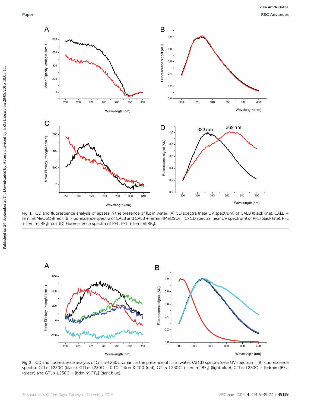

Fig. 1 CD and fluorescence analysis of lipases in the presence of ILs in water. (A) CD spectra (near UV spectrum) of CALB (black line), CALB + [emim][MeOSO<sub>3</sub>](red). (B) Fluorescence spectra of CALB and CALB + [emim][MeOSO<sub>3</sub>]. (C) CD spectra (near UV spectrum) of PFL (black line), PFL + [emim][BF4](red). (D) Fluorescence spectra of PFL, PFL + [emim][BF4].



Fig. 2 CD and fluorescence analysis of GTLs-L230C variant in the presence of ILs in water. (A) CD spectra (near UV spectrum). (B) Fluorescence spectra. GTLσ-L230C (black), GTLσ-L230C + 0.1% Triton X-100 (red), GTLσ-L230C + [emim][BF<sub>4</sub>] (light blue), GTLσ-L230C + [bdmim][BF<sub>4</sub>] (green) and GTL $\sigma$ -L230C + [bdmim][PF $_6$ ] (dark blue).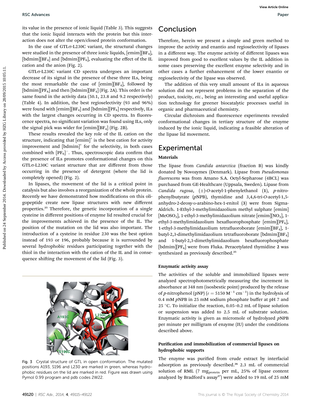its value in the presence of ionic liquid (Table 3). This suggests that the ionic liquid interacts with the protein but this interaction does not alter the open/closed protein conformation.

In the case of GTL<sub>o</sub>-L<sub>230</sub>C variant, the structural changes were studied in the presence of three ionic liquids, [emim][BF<sub>4</sub>], [bdmim][BF<sub>4</sub>] and [bdmim][PF<sub>6</sub>], evaluating the effect of the IL cation and the anion (Fig. 2).

GTL<sub>o</sub>-L<sub>230</sub>C variant CD spectra undergoes an important decrease of its signal in the presence of these three ILs, being the most remarkable the case of  $[emim][BF_4]$ , followed by [bdmim][PF<sub>6</sub>] and then [bdmim][BF<sub>4</sub>] (Fig. 2A). This order is the same found in the activity data (50.1, 23.8 and 9.2 respectively) (Table 4). In addition, the best regioselectivity (93 and 96%) were found with  $[emim][BF_4]$  and  $[bdmim][PF_6]$  respectively, ILs with the largest changes occurring in CD spectra. In fluorescence spectra, no significant variation was found using ILs, only the signal pick was wider for  $[emim][BF_4]$  (Fig. 2B).

These results revealed the key role of the IL cation on the structure, indicating that  $[emim]$ <sup>+</sup> is the best cation for activity improvement and [bdmim]<sup>+</sup> for the selectivity, in both cases combined with  $[PF_6]^-$ . Thus, spectroscopic data confirm that the presence of ILs promotes conformational changes on this GTL<sub>o</sub>-L230C variant structure that are different from those occurring in the presence of detergent (where the lid is completely opened) (Fig. 2).

In lipases, the movement of the lid is a critical point in catalysis but also involves a reorganization of the whole protein. Recently we have demonstrated how modifications on this oligopeptide create new lipase structures with new different properties.<sup>25</sup> Therefore, the genetic incorporation of a single cysteine in different positions of enzyme lid resulted crucial for the improvements achieved in the presence of the IL. The position of the mutation on the lid was also important. The introduction of a cysteine in residue 230 was the best option instead of 193 or 196, probably because it is surrounded by several hydrophobic residues participating together with the thiol in the interaction with the cation of the IL and in consequence shifting the movement of the lid (Fig. 3).



Fig. 3 Crystal structure of GTL in open conformation. The mutated positions A193, S196 and L230 are marked in green, whereas hydrophobic residues on the lid are marked in red. Figure was drawn using Pymol 0.99 program and pdb codes 2W22.

## Conclusion

Therefore, herein we present a simple and green method to improve the activity and enantio and regioselectivity of lipases in a different way. The enzyme activity of different lipases was improved from good to excellent values by the IL addition in some cases preserving the excellent enzyme selectivity and in other cases a further enhancement of the lower enantio or regioselectivity of the lipase was observed.

The addition of this very small amount of ILs in aqueous solution did not represent problems in the separation of the product, toxicity, etc., being an interesting and useful application technology for greener biocatalytic processes useful in organic and pharmaceutical chemistry.

Circular dichroism and fluorescence experiments revealed conformational changes in tertiary structure of the enzyme induced by the ionic liquid, indicating a feasible alteration of the lipase lid movement.

## **Experimental**

#### Materials

The lipase from Candida antarctica (fraction B) was kindly donated by Novozymes (Denmark). Lipase from Pseudomonas fluorescens was from Amano S.A. Octyl-Sepharose (4BCL) was purchased from GE-Healthcare (Uppsala, Sweden). Lipase from Candida rugosa,  $(\pm)$ -O-acetyl-1-phenylethanol (1), p-nitrophenylbutyrate (pNPB), thymidine and 3,4,6-tri-O-acetyl-1,5 anhydro-2-deoxy-D-arabino-hex-1-enitol (3) were from Sigma-Aldrich. 1-Ethyl-3-methylimidazolium methyl sulphate [emim] [MeOSO<sub>3</sub>], 1-ethyl-3-methylimidazolium nitrate [emim][NO<sub>3</sub>], 1ethyl-3-methylimidazolium hexafluorophosphate  $[$ emim $]$  $[$ PF $_6$ ], 1-ethyl-3-methylimidazolium tetrafluoroborate  $[{\rm emim}]$ BF<sub>4</sub>], 1butyl-2,3-dimethylimidazolium tetrafluoroborate [bdmim][BF<sub>4</sub>] and 1-butyl-2,3-dimethylimidazolium hexafluorophosphate [bdmim][ $PF_6$ ] were from Fluka. Peracetylated thymidine 2 was synthesized as previously described.<sup>25</sup> **BSC** Advances<br>
in the main of the signal on the signal conditions. **Conclusion** and the main one was a single and given method<br>
the main on the main of the signal conditions the main of the main of the main one of the si

#### Enzymatic activity assay

The activities of the soluble and immobilized lipases were analyzed spectrophotometrically measuring the increment in absorbance at 348 nm (isosbestic point) produced by the release of p-nitrophenol (pNP) ( $\varepsilon = 5150 \text{ M}^{-1} \text{ cm}^{-1}$ ) in the hydrolysis of 0.4 mM pNPB in 25 mM sodium phosphate buffer at pH 7 and 25 °C. To initialize the reaction, 0.05-0.2 mL of lipase solution or suspension was added to 2.5 mL of substrate solution. Enzymatic activity is given as micromole of hydrolyzed pNPB per minute per milligram of enzyme (IU) under the conditions described above.

#### Purification and immobilization of commercial lipases on hydrophobic supports

The enzyme was purified from crude extract by interfacial adsorption as previously described.<sup>26</sup> 2.3 mL of commercial solution of RML (7 mg<sub>protein</sub> per mL, 25% of lipase content analyzed by Bradford's assay<sup>27</sup>) were added to 19 mL of 25 mM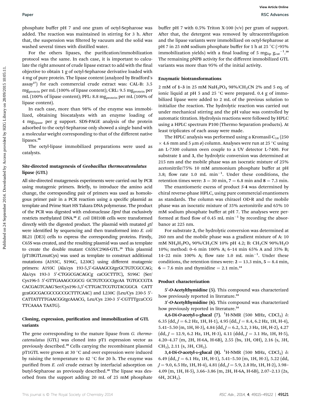phosphate buffer pH 7 and one gram of octyl-Sepharose was added. The reaction was maintained in stirring for 3 h. After that, the suspension was filtered by vacuum and the solid was washed several times with distilled water.

For the others lipases, the purification/immobilization protocol was the same. In each case, it is important to calculate the right amount of crude lipase extract to add with the final objective to obtain 1 g of octyl-Sepharose derivative loaded with 4 mg of pure protein. The lipase content (analyzed by Bradford's assay<sup>27</sup>) for each commercial crude extract was: CAL-B: 3.5 mg<sub>protein</sub> per mL (100% of lipase content); CRL: 9.5 mg<sub>protein</sub> per mL (100% of lipase content); PFL: 8.8 mg<sub>protein</sub> per mL (100% of lipase content).

In each case, more than 98% of the enzyme was immobilized, obtaining biocatalysts with an enzyme loading of 4 mglipase per g support. SDS-PAGE analysis of the protein adsorbed to the octyl-Sepharose only showed a single band with a molecular weight corresponding to that of the different native lipases.<sup>26</sup>

The octyl-lipase immobilized preparations were used as catalysts.

#### Site-directed mutagenesis of Geobacillus thermocatenulatus lipase (GTL)

All site-directed mutagenesis experiments were carried out by PCR using mutagenic primers. Briefly, to introduce the amino acid change, the corresponding pair of primers was used as homologous primer pair in a PCR reaction using a specific plasmid as template and Prime Start HS Takara DNA polymerase. The product of the PCR was digested with endonuclease DpnI that exclusively restricts methylated DNA.<sup>28</sup> E. coli DH10B cells were transformed directly with the digested product. The plasmid with mutated gtl were identified by sequencing and then transformed into E. coli BL21 (DE3) cells to express the corresponding proteins. Firstly, C65S was created, and the resulting plasmid was used as template to create the double mutant C65S/C296S-GTL.<sup>29</sup> This plasmid (pT1BGTLmutCys) was used as template to construct additional mutations (A193C, S196C, L230C) using different mutagenic primers: A193C (Ala/cys 193-5,5'-GAAAGCGtgcGCTGTCGCCAG; Ala/cys 193-3 5′-CTGGCGACAGCg caCGCTTTC), S196C (Ser/ Cys196-5 5'-GTTGAAAGCGGCG GCTGTCGCCtgcAA TGTGCCGTA CACGAGTCAAG'Ser/Cys196-3,5′-CTTGACTCGTGTACGGCA CATT gcaGGCGACGCCGCCGCTTTCAAC) and L230C (Leu/Cys 230-5 5'-CATTATTTTGAACGGtgcAAACG, Leu/Cys 230-3 5'-CGTTTgcaCCG TTCAAAA TAATG). **Puer Example 1914.** The most of the part of exploration was hundred by Access provided and the part of the system of the system of the system of the system of the system of the system of the system of the system of the s

#### Cloning, expression, purification and immobilization of GTL variants

The gene corresponding to the mature lipase from G. thermocatenulatus (GTL) was cloned into pT1 expression vector as previously described.<sup>28</sup> Cells carrying the recombinant plasmid pT1GTL were grown at 30  $^{\circ}$ C and over expression were induced by raising the temperature to 42  $^{\circ}$ C for 20 h. The enzyme was purified from E. coli crude extract by interfacial adsorption on butyl-Sepharose as previously described.<sup>30</sup> The lipase was desorbed from the support adding 20 mL of 25 mM phosphate

buffer pH 7 with 0.5% Triton X-100  $(v/v)$  per gram of support. After that, the detergent was removed by ultracentrifugation and the lipase variants were immobilized on octyl-Sepharose at pH 7 in 25 mM sodium phosphate buffer for 1 h at 25  $^{\circ}$ C (>95% immobilization yields) with a final loading of 5 mg<sub>lip</sub>  $g_{cat}^{-1}$ .<sup>3</sup> The remaining pNPB activity for the different immobilized GTL variants was more than 95% of the initial activity.

#### Enzymatic biotransformations

2 mM of 1-3 in 25 mM  $NaH_2PO_4$  98%/CH<sub>3</sub>CN 2% and 5 eq. of ionic liquid at pH 5 and 25  $^{\circ}$ C were prepared. 0.4 g of immobilized lipase were added to 2 mL of the previous solution to initialize the reaction. The hydrolytic reaction was carried out under mechanical stirring and the pH value was controlled by automatic titration. Hydrolysis reactions were followed by HPLC using a HPLC spectrum P100 (Thermo Separation products). At least triplicates of each assay were made.

The HPLC analysis was performed using a Kromasil- $C_{18}$  (250  $\times$  4.6 mm and 5 µm ø) column. Analyses were run at 25 °C using an L-7300 column oven couple to a UV detector L-7400. For substrate 1 and 3, the hydrolytic conversion was determined at 215 nm and the mobile phase was an isocratic mixture of 25% acetonitrile/75% 10 mM ammonium phosphate buffer at pH 3.8; flow rate 1.0 mL  $min^{-1}$ . Under these conditions, the retention times were:  $3 = 30$  min,  $7 = 6.8$  min and  $8 = 7.3$  min.

The enantiomeric excess of product S-4 was determined by chiral reverse-phase HPLC, using pure commercial enantiomers as standards. The column was chiracel OD-R and the mobile phase was an isocratic mixture of 35% acetonitrile and 65% 10 mM sodium phosphate buffer at pH 7. The analyses were performed at fixed flow of 0.45 mL min<sup>-1</sup> by recording the absorbance at 225 nm.

For substrate 2, the hydrolytic conversion was determined at 260 nm and the mobile phase was a gradient mixture of A: 10 mM NH<sub>4</sub>H<sub>2</sub>PO<sub>4</sub> 90%/CH<sub>3</sub>CN 10% pH 4.2; B: CH<sub>3</sub>CN 90%/H<sub>2</sub>O 10%; method: 0–6 min 100% A; 6–14 min 65% A and 35% B; 14-22 min 100% A; flow rate 1.0 mL  $min^{-1}$ . Under these conditions, the retention times were:  $2 = 13.3$  min,  $5 = 8.4$  min,  $6 = 7.6$  min and thymidine = 2.1 min.<sup>24</sup>

#### Product characterization

5'-O-Acetylthymidine (5). This compound was characterized how previously reported in literature.<sup>24</sup>

3'-O-Acetylthymidine (6). This compound was characterized how previously reported in literature.<sup>24</sup>

4,6-Di-O-acetyl-D-glucal (7).  ${}^{1}$ H-NMR (500 MHz, CDCl<sub>3</sub>)  $\delta$ : 6.35 (dd,  $J = 6.2$  Hz, 1H, H-1), 4.95 (dd,  $J = 8.4$ , 6.2 Hz, 1H, H-4), 5.41–5.50 (m, 1H, H-3), 4.84 (dd,  $J = 6.2$ , 5.2, 3 Hz, 1H, H-2), 4.27  $(dd, J = 12.9, 6.2$  Hz, 1H, H-3), 4.11  $(ddd, J = 3.1$  Hz, 1H, H-5), 4.20–4.37 (m, 2H, H-6A, H-6B), 2.55 (bs, 1H, OH), 2.16 (s, 3H,  $CH<sub>3</sub>$ ), 2.11 (s, 3H, CH<sub>3</sub>).

3,4-Di-O-acetyl-D-glucal (8).  ${}^{1}$ H-NMR (500 MHz, CDCl<sub>3</sub>)  $\delta$ : 6.49 (dd,  $J = 6.1$  Hz, 1H, H-1), 5.41-5.50 (m, 1H, H-3), 5.22 (dd,  $J = 9.0, 6.5$  Hz, 1H, H-4), 4.81 (dd,  $J = 5.9, 2.8$  Hz, 1H, H-2), 3.98– 4.09 (m, 1H, H-5), 3.66–3.86 (m, 2H, H-6A, H-6B), 2.07–2.13 (2s, 6H, 2CH<sub>3</sub>).